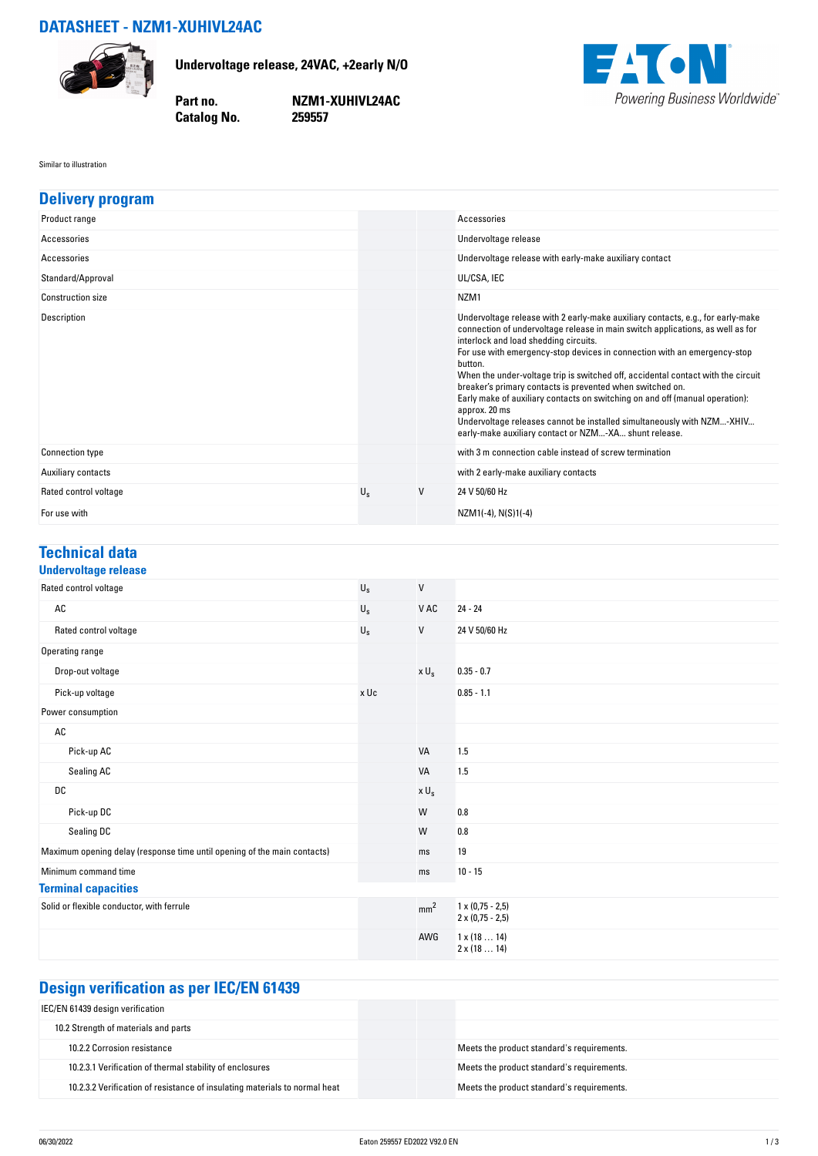#### **DATASHEET - NZM1-XUHIVL24AC**



**Undervoltage release, 24VAC, +2early N/O**

**Catalog No.** 

**Part no. NZM1-XUHIVL24AC**



Similar to illustration

| <b>Delivery program</b>  |             |        |                                                                                                                                                                                                                                                                                                                                                                                                                                                                                                                                                                                                                                                                                        |
|--------------------------|-------------|--------|----------------------------------------------------------------------------------------------------------------------------------------------------------------------------------------------------------------------------------------------------------------------------------------------------------------------------------------------------------------------------------------------------------------------------------------------------------------------------------------------------------------------------------------------------------------------------------------------------------------------------------------------------------------------------------------|
| Product range            |             |        | Accessories                                                                                                                                                                                                                                                                                                                                                                                                                                                                                                                                                                                                                                                                            |
| Accessories              |             |        | Undervoltage release                                                                                                                                                                                                                                                                                                                                                                                                                                                                                                                                                                                                                                                                   |
| Accessories              |             |        | Undervoltage release with early-make auxiliary contact                                                                                                                                                                                                                                                                                                                                                                                                                                                                                                                                                                                                                                 |
| Standard/Approval        |             |        | UL/CSA, IEC                                                                                                                                                                                                                                                                                                                                                                                                                                                                                                                                                                                                                                                                            |
| <b>Construction size</b> |             |        | NZM <sub>1</sub>                                                                                                                                                                                                                                                                                                                                                                                                                                                                                                                                                                                                                                                                       |
| Description              |             |        | Undervoltage release with 2 early-make auxiliary contacts, e.g., for early-make<br>connection of undervoltage release in main switch applications, as well as for<br>interlock and load shedding circuits.<br>For use with emergency-stop devices in connection with an emergency-stop<br>button.<br>When the under-voltage trip is switched off, accidental contact with the circuit<br>breaker's primary contacts is prevented when switched on.<br>Early make of auxiliary contacts on switching on and off (manual operation):<br>approx. 20 ms<br>Undervoltage releases cannot be installed simultaneously with NZM-XHIV<br>early-make auxiliary contact or NZM-XA shunt release. |
| <b>Connection type</b>   |             |        | with 3 m connection cable instead of screw termination                                                                                                                                                                                                                                                                                                                                                                                                                                                                                                                                                                                                                                 |
| Auxiliary contacts       |             |        | with 2 early-make auxiliary contacts                                                                                                                                                                                                                                                                                                                                                                                                                                                                                                                                                                                                                                                   |
| Rated control voltage    | $U_{\rm s}$ | $\vee$ | 24 V 50/60 Hz                                                                                                                                                                                                                                                                                                                                                                                                                                                                                                                                                                                                                                                                          |
| For use with             |             |        | $NZM1(-4)$ , $N(S)1(-4)$                                                                                                                                                                                                                                                                                                                                                                                                                                                                                                                                                                                                                                                               |

# **Technical data**

| <b>Undervoltage release</b>                                              |             |                          |                                                    |
|--------------------------------------------------------------------------|-------------|--------------------------|----------------------------------------------------|
| Rated control voltage                                                    | $U_{\rm S}$ | V                        |                                                    |
| $\mathsf{AC}$                                                            | $U_{\rm S}$ | V AC                     | $24 - 24$                                          |
| Rated control voltage                                                    | $U_{\rm S}$ | V                        | 24 V 50/60 Hz                                      |
| Operating range                                                          |             |                          |                                                    |
| Drop-out voltage                                                         |             | $\times$ $\sf U_{\rm S}$ | $0.35 - 0.7$                                       |
| Pick-up voltage                                                          | x Uc        |                          | $0.85 - 1.1$                                       |
| Power consumption                                                        |             |                          |                                                    |
| AC                                                                       |             |                          |                                                    |
| Pick-up AC                                                               |             | <b>VA</b>                | 1.5                                                |
| Sealing AC                                                               |             | <b>VA</b>                | 1.5                                                |
| DC                                                                       |             | $x U_s$                  |                                                    |
| Pick-up DC                                                               |             | W                        | 0.8                                                |
| Sealing DC                                                               |             | W                        | 0.8                                                |
| Maximum opening delay (response time until opening of the main contacts) |             | ms                       | 19                                                 |
| Minimum command time                                                     |             | ms                       | $10 - 15$                                          |
| <b>Terminal capacities</b>                                               |             |                          |                                                    |
| Solid or flexible conductor, with ferrule                                |             | mm <sup>2</sup>          | $1 \times (0.75 - 2.5)$<br>$2 \times (0.75 - 2.5)$ |
|                                                                          |             | AWG                      | $1 \times (1814)$<br>$2 \times (1814)$             |

## **Design verification as per IEC/EN 61439**

| IEC/EN 61439 design verification                                           |                                            |
|----------------------------------------------------------------------------|--------------------------------------------|
| 10.2 Strength of materials and parts                                       |                                            |
| 10.2.2 Corrosion resistance                                                | Meets the product standard's requirements. |
| 10.2.3.1 Verification of thermal stability of enclosures                   | Meets the product standard's requirements. |
| 10.2.3.2 Verification of resistance of insulating materials to normal heat | Meets the product standard's requirements. |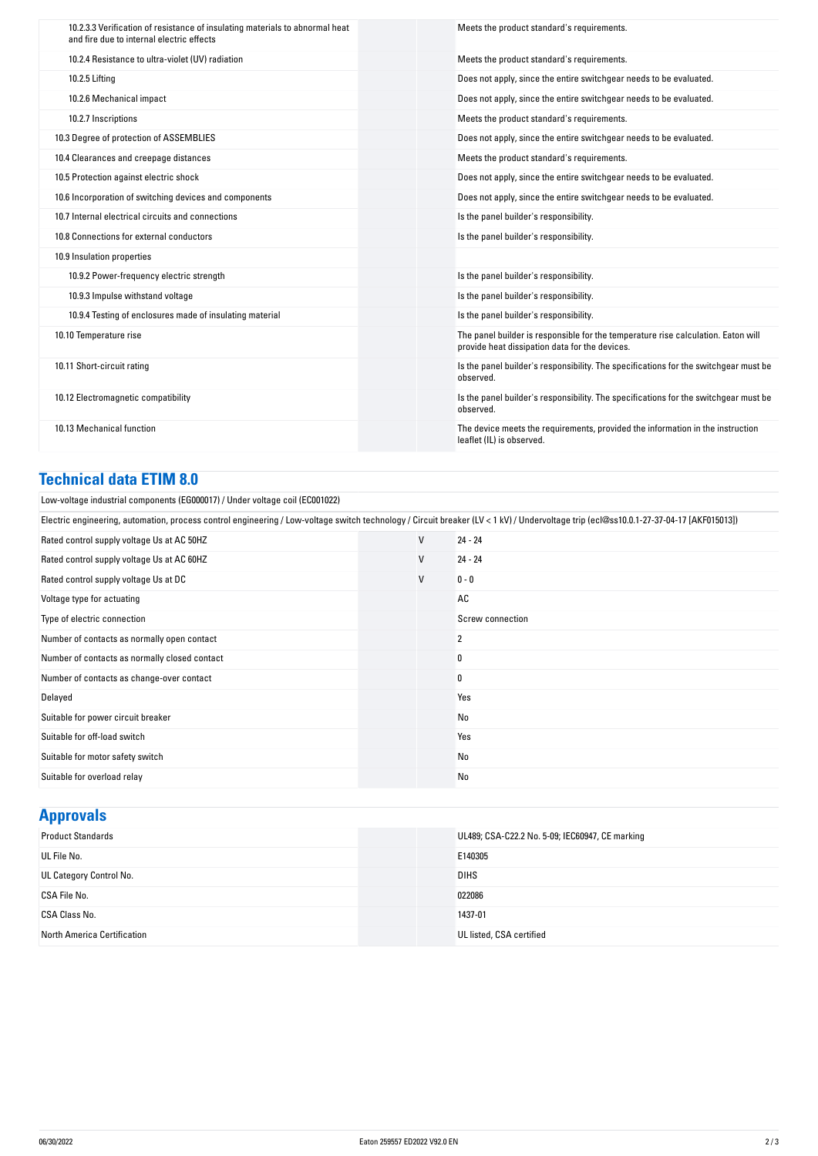| 10.2.3.3 Verification of resistance of insulating materials to abnormal heat<br>and fire due to internal electric effects | Meets the product standard's requirements.                                                                                          |
|---------------------------------------------------------------------------------------------------------------------------|-------------------------------------------------------------------------------------------------------------------------------------|
| 10.2.4 Resistance to ultra-violet (UV) radiation                                                                          | Meets the product standard's requirements.                                                                                          |
| 10.2.5 Lifting                                                                                                            | Does not apply, since the entire switchgear needs to be evaluated.                                                                  |
| 10.2.6 Mechanical impact                                                                                                  | Does not apply, since the entire switchgear needs to be evaluated.                                                                  |
| 10.2.7 Inscriptions                                                                                                       | Meets the product standard's requirements.                                                                                          |
| 10.3 Degree of protection of ASSEMBLIES                                                                                   | Does not apply, since the entire switchgear needs to be evaluated.                                                                  |
| 10.4 Clearances and creepage distances                                                                                    | Meets the product standard's requirements.                                                                                          |
| 10.5 Protection against electric shock                                                                                    | Does not apply, since the entire switchgear needs to be evaluated.                                                                  |
| 10.6 Incorporation of switching devices and components                                                                    | Does not apply, since the entire switchgear needs to be evaluated.                                                                  |
| 10.7 Internal electrical circuits and connections                                                                         | Is the panel builder's responsibility.                                                                                              |
| 10.8 Connections for external conductors                                                                                  | Is the panel builder's responsibility.                                                                                              |
| 10.9 Insulation properties                                                                                                |                                                                                                                                     |
| 10.9.2 Power-frequency electric strength                                                                                  | Is the panel builder's responsibility.                                                                                              |
| 10.9.3 Impulse withstand voltage                                                                                          | Is the panel builder's responsibility.                                                                                              |
| 10.9.4 Testing of enclosures made of insulating material                                                                  | Is the panel builder's responsibility.                                                                                              |
| 10.10 Temperature rise                                                                                                    | The panel builder is responsible for the temperature rise calculation. Eaton will<br>provide heat dissipation data for the devices. |
| 10.11 Short-circuit rating                                                                                                | Is the panel builder's responsibility. The specifications for the switchgear must be<br>observed.                                   |
| 10.12 Electromagnetic compatibility                                                                                       | Is the panel builder's responsibility. The specifications for the switchgear must be<br>observed.                                   |
| 10.13 Mechanical function                                                                                                 | The device meets the requirements, provided the information in the instruction<br>leaflet (IL) is observed.                         |

### **Technical data ETIM 8.0**

Low-voltage industrial components (EG000017) / Under voltage coil (EC001022)

| Electric engineering, automation, process control engineering / Low-voltage switch technology / Circuit breaker (LV < 1 kV) / Undervoltage trip (ecl@ss10.0.1-27-37-04-17 [AKF015013]) |        |                  |  |
|----------------------------------------------------------------------------------------------------------------------------------------------------------------------------------------|--------|------------------|--|
| Rated control supply voltage Us at AC 50HZ                                                                                                                                             | $\vee$ | $24 - 24$        |  |
| Rated control supply voltage Us at AC 60HZ                                                                                                                                             | ٧      | $24 - 24$        |  |
| Rated control supply voltage Us at DC                                                                                                                                                  | V      | $0 - 0$          |  |
| Voltage type for actuating                                                                                                                                                             |        | AC               |  |
| Type of electric connection                                                                                                                                                            |        | Screw connection |  |
| Number of contacts as normally open contact                                                                                                                                            |        | 2                |  |
| Number of contacts as normally closed contact                                                                                                                                          |        | 0                |  |
| Number of contacts as change-over contact                                                                                                                                              |        | 0                |  |
| Delayed                                                                                                                                                                                |        | Yes              |  |
| Suitable for power circuit breaker                                                                                                                                                     |        | No               |  |
| Suitable for off-load switch                                                                                                                                                           |        | Yes              |  |
| Suitable for motor safety switch                                                                                                                                                       |        | No               |  |
| Suitable for overload relay                                                                                                                                                            |        | No               |  |

## **Approvals**

| <b>Product Standards</b>    | UL489; CSA-C22.2 No. 5-09; IEC60947, CE marking |
|-----------------------------|-------------------------------------------------|
| UL File No.                 | E140305                                         |
| UL Category Control No.     | <b>DIHS</b>                                     |
| CSA File No.                | 022086                                          |
| CSA Class No.               | 1437-01                                         |
| North America Certification | UL listed, CSA certified                        |